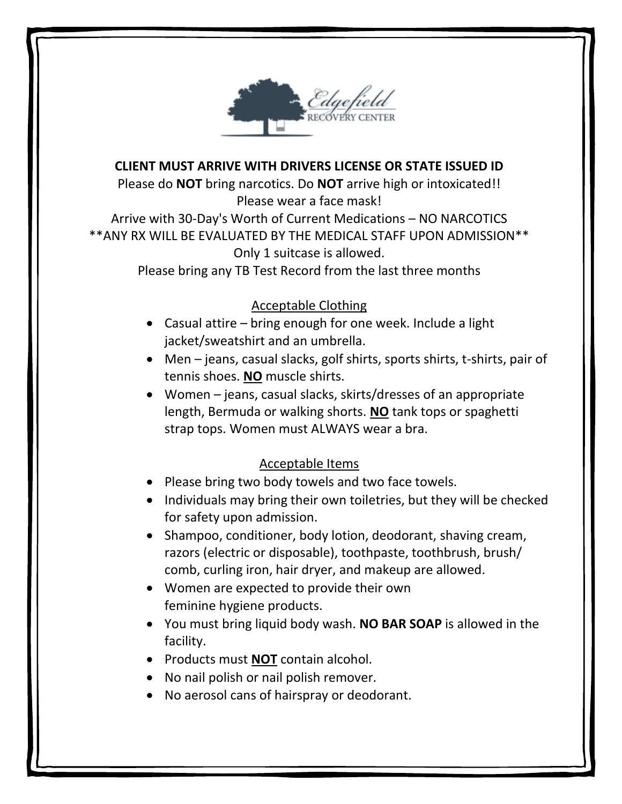

#### **CLIENT MUST ARRIVE WITH DRIVERS LICENSE OR STATE ISSUED ID**

Please do **NOT** bring narcotics. Do **NOT** arrive high or intoxicated!! Please wear a face mask! Arrive with 30-Day's Worth of Current Medications – NO NARCOTICS \*\*ANY RX WILL BE EVALUATED BY THE MEDICAL STAFF UPON ADMISSION\*\* Only 1 suitcase is allowed.

Please bring any TB Test Record from the last three months

## Acceptable Clothing

- Casual attire bring enough for one week. Include a light jacket/sweatshirt and an umbrella.
- Men jeans, casual slacks, golf shirts, sports shirts, t-shirts, pair of tennis shoes. **NO** muscle shirts.
- Women jeans, casual slacks, skirts/dresses of an appropriate length, Bermuda or walking shorts. **NO** tank tops or spaghetti strap tops. Women must ALWAYS wear a bra.

## Acceptable Items

- Please bring two body towels and two face towels.
- Individuals may bring their own toiletries, but they will be checked for safety upon admission.
- Shampoo, conditioner, body lotion, deodorant, shaving cream, razors (electric or disposable), toothpaste, toothbrush, brush/ comb, curling iron, hair dryer, and makeup are allowed.
- Women are expected to provide their own feminine hygiene products.
- You must bring liquid body wash. **NO BAR SOAP** is allowed in the facility.
- Products must **NOT** contain alcohol.
- No nail polish or nail polish remover.
- No aerosol cans of hairspray or deodorant.